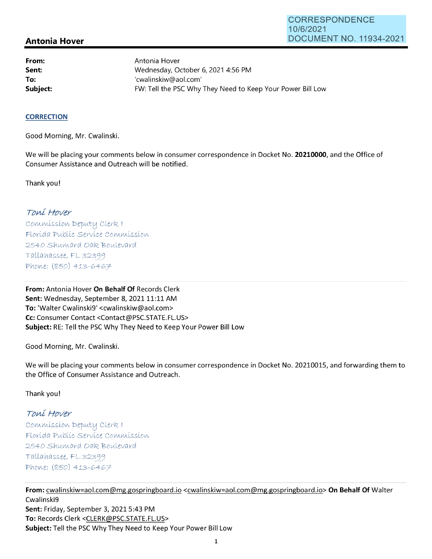## **Antonia Hover**

**From: Sent: To:** 

Antonia Hover Wednesday, October 6, 2021 4:56 PM 'cwalinskiw@aol.com' Subject: **Subject: FW: Tell the PSC Why They Need to Keep Your Power Bill Low** 

## **CORRECTION**

Good Morning, Mr. Cwalinski.

We will be placing your comments below in consumer correspondence in Docket No. **20210000,** and the Office of Consumer Assistance and Outreach will be notified.

Thank you!

## Toní Hover

Commission Deputy Clerk 1 Florída Publíc Service Commission 2540 Shumard Oak Boulevard  $Tallahasse, FL 32399$ Phone: (850) 413-6467

**From:** Antonia Hover **On Behalf Of** Records Clerk Sent: Wednesday, September 8, 2021 11:11 AM **To:** 'Walter Cwalinski9' <cwalinskiw@aol.com> **Cc:** Consumer Contact <Contact@PSC.STATE.FL.US> **Subject:** RE: Tell the PSC Why They Need to Keep Your Power Bill Low

Good Morning, Mr. Cwalinski.

We will be placing your comments below in consumer correspondence in Docket No. 20210015, and forwarding them to the Office of Consumer Assistance and Outreach.

Thank you!

## Toní Hover

 $Commission$  Deputy Clerk I Florída Publíc Servíce Commission 2540 Shumard Oak Boulevard  $Tallahasse, FL 32399$ Phone: (850) 413-6467

**From:** cwalinskiw=aol.com@mg.gospringboard .io <cwalinskiw=aol.com@mg.gospringboard.io> **On Behalf Of** Walter Cwalinski9 **Sent:** Friday, September 3, 2021 5:43 PM **To:** Records Clerk <CLERK@PSC.STATE.FL.US> **Subject:** Tell the PSC Why They Need to Keep Your Power Bill Low